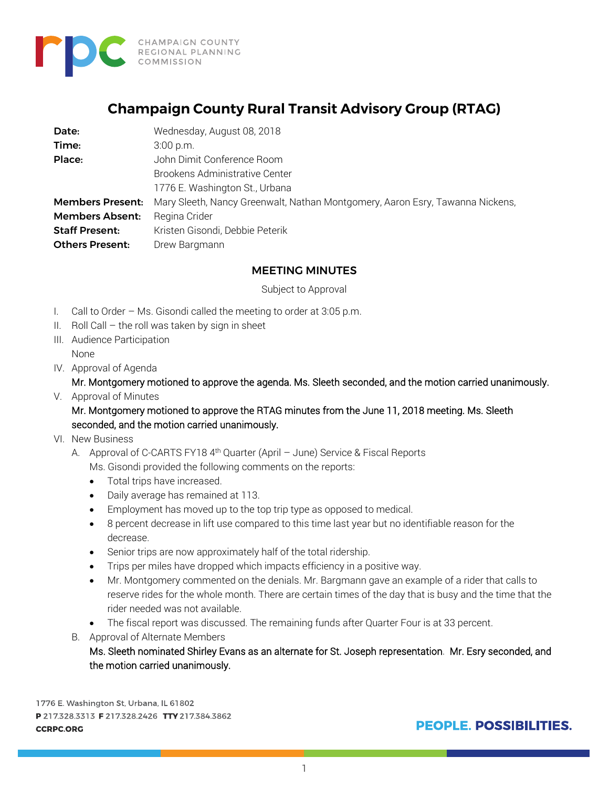

## **Champaign County Rural Transit Advisory Group (RTAG)**

| Date:                   | Wednesday, August 08, 2018                                                    |
|-------------------------|-------------------------------------------------------------------------------|
| Time:                   | $3:00$ p.m.                                                                   |
| Place:                  | John Dimit Conference Room                                                    |
|                         | Brookens Administrative Center                                                |
|                         | 1776 E. Washington St., Urbana                                                |
| <b>Members Present:</b> | Mary Sleeth, Nancy Greenwalt, Nathan Montgomery, Aaron Esry, Tawanna Nickens, |
| <b>Members Absent:</b>  | Regina Crider                                                                 |
| <b>Staff Present:</b>   | Kristen Gisondi, Debbie Peterik                                               |
| <b>Others Present:</b>  | Drew Bargmann                                                                 |

## MEETING MINUTES

Subject to Approval

- I. Call to Order Ms. Gisondi called the meeting to order at 3:05 p.m.
- II. Roll Call  $-$  the roll was taken by sign in sheet
- III. Audience Participation None
- IV. Approval of Agenda

Mr. Montgomery motioned to approve the agenda. Ms. Sleeth seconded, and the motion carried unanimously.

V. Approval of Minutes

Mr. Montgomery motioned to approve the RTAG minutes from the June 11, 2018 meeting. Ms. Sleeth seconded, and the motion carried unanimously.

- VI. New Business
	- A. Approval of C-CARTS FY18 4<sup>th</sup> Quarter (April June) Service & Fiscal Reports Ms. Gisondi provided the following comments on the reports:
		- Total trips have increased.
		- Daily average has remained at 113.
		- Employment has moved up to the top trip type as opposed to medical.
		- 8 percent decrease in lift use compared to this time last year but no identifiable reason for the decrease.
		- Senior trips are now approximately half of the total ridership.
		- Trips per miles have dropped which impacts efficiency in a positive way.
		- Mr. Montgomery commented on the denials. Mr. Bargmann gave an example of a rider that calls to reserve rides for the whole month. There are certain times of the day that is busy and the time that the rider needed was not available.
		- The fiscal report was discussed. The remaining funds after Quarter Four is at 33 percent.
	- B. Approval of Alternate Members

Ms. Sleeth nominated Shirley Evans as an alternate for St. Joseph representation. Mr. Esry seconded, and the motion carried unanimously.

1776 E. Washington St, Urbana, IL 61802 P 217.328.3313 F 217.328.2426 TTY 217.384.3862 **CCRPC.ORG** 

**PEOPLE, POSSIBILITIES.**